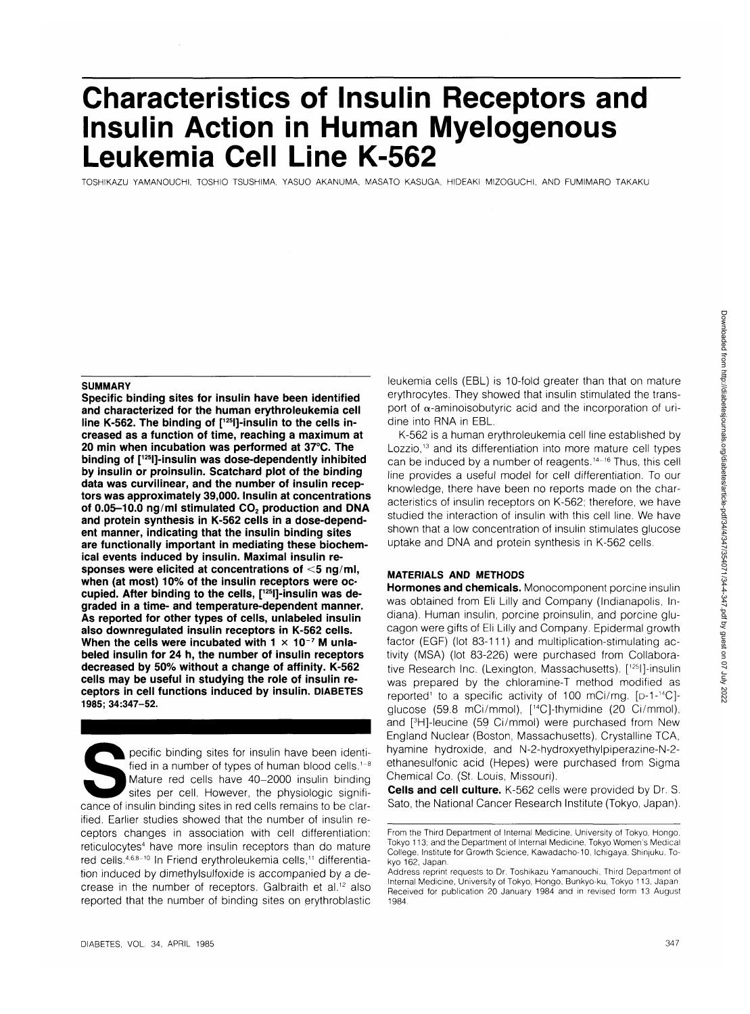# **Characteristics of Insulin Receptors and Insulin Action in Human Myelogenous Leukemia Cell Line K-562**

TOSHIKAZU YAMANOUCHI, TOSHIO TSUSHIMA, YASUO AKANUMA, MASATO KASUGA, HIDEAKI MIZOGUCHI, AND FUMIMARO TAKAKU

## **SUMMARY**

**Specific binding sites for insulin have been identified and characterized for the human erythroleukemia cell** line K-562. The binding of [<sup>125</sup>]]-insulin to the cells in**creased as a function of time, reaching a maximum at 20 min when incubation was performed at 37°C. The binding of [125l]-insulin was dose-dependently inhibited by insulin or proinsulin. Scatchard plot of the binding data was curvilinear, and the number of insulin receptors was approximately 39,000. Insulin at concentrations** of 0.05-10.0 ng/ml stimulated CO<sub>2</sub> production and DNA **and protein synthesis in K-562 cells in a dose-dependent manner, indicating that the insulin binding sites are functionally important in mediating these biochemical events induced by insulin. Maximal insulin responses were elicited at concentrations of <5 ng/ml, when (at most) 10% of the insulin receptors were occupied. After binding to the cells, [125l]-insulin was degraded in a time- and temperature-dependent manner. As reported for other types of cells, unlabeled insulin also downregulated insulin receptors in K-562 cells. When the cells were incubated with 1 x 10~7 M unlabeled insulin for 24 h, the number of insulin receptors decreased by 50% without a change of affinity. K-562 cells may be useful in studying the role of insulin receptors in cell functions induced by insulin. DIABETES 1985; 34:347-52.**

Specific binding sites for insulin have been identi-<br>
fied in a number of types of human blood cells.<sup>1-8</sup><br>
Mature red cells have 40–2000 insulin binding<br>
sites per cell. However, the physiologic signifi-<br>
cance of insulin fied in a number of types of human blood cells.<sup>1-8</sup> Mature red cells have 40-2000 insulin binding sites per cell. However, the physiologic signifiified. Earlier studies showed that the number of insulin receptors changes in association with cell differentiation: reticulocytes<sup>4</sup> have more insulin receptors than do mature red cells.<sup>4,6,8-10</sup> In Friend erythroleukemia cells,<sup>11</sup> differentiation induced by dimethylsulfoxide is accompanied by a decrease in the number of receptors. Galbraith et al.<sup>12</sup> also reported that the number of binding sites on erythroblastic leukemia cells (EBL) is 10-fold greater than that on mature erythrocytes. They showed that insulin stimulated the transport of  $\alpha$ -aminoisobutyric acid and the incorporation of uridine into RNA in EBL.

K-562 is a human erythroleukemia cell line established by Lozzio,<sup>13</sup> and its differentiation into more mature cell types can be induced by a number of reagents.<sup>14-16</sup> Thus, this cell line provides a useful model for cell differentiation. To our knowledge, there have been no reports made on the characteristics of insulin receptors on K-562; therefore, we have studied the interaction of insulin with this cell line. We have shown that a low concentration of insulin stimulates glucose uptake and DNA and protein synthesis in K-562 cells.

# **MATERIALS AND METHODS**

**Hormones and chemicals.** Monocomponent porcine insulin was obtained from Eli Lilly and Company (Indianapolis, Indiana). Human insulin, porcine proinsulin, and porcine glucagon were gifts of Eli Lilly and Company. Epidermal growth factor (EGF) (lot 83-111) and multiplication-stimulating activity (MSA) (lot 83-226) were purchased from Collaborative Research Inc. (Lexington, Massachusetts). [125l]-insulin was prepared by the chloramine-T method modified as reported<sup>1</sup> to a specific activity of 100 mCi/mg. [p-1-<sup>14</sup>C]glucose (59.8 mCi/mmol), [14C]-thymidine (20 Ci/mmol), and [<sup>3</sup> H]-leucine (59 Ci/mmol) were purchased from New England Nuclear (Boston, Massachusetts). Crystalline TCA, hyamine hydroxide, and N-2-hydroxyethylpiperazine-N-2 ethanesulfonic acid (Hepes) were purchased from Sigma Chemical Co. (St. Louis, Missouri).

**Cells and cell culture.** K-562 cells were provided by Dr. S. Sato, the National Cancer Research Institute (Tokyo, Japan).

From the Third Department of Internal Medicine, University of Tokyo, Hongo. Tokyo 113; and the Department of Internal Medicine, Tokyo Women's Medical College. Institute for Growth Science, Kawadacho-10, Ichigaya, Shinjuku. Tokyo 162, Japan.

Address reprint requests to Dr. Toshikazu Yamanouchi, Third Department of Internal Medicine, University of Tokyo, Hongo, Bunkyo-ku, Tokyo 113, Japan. Received for publication 20 January 1984 and in revised form 13 August 1984.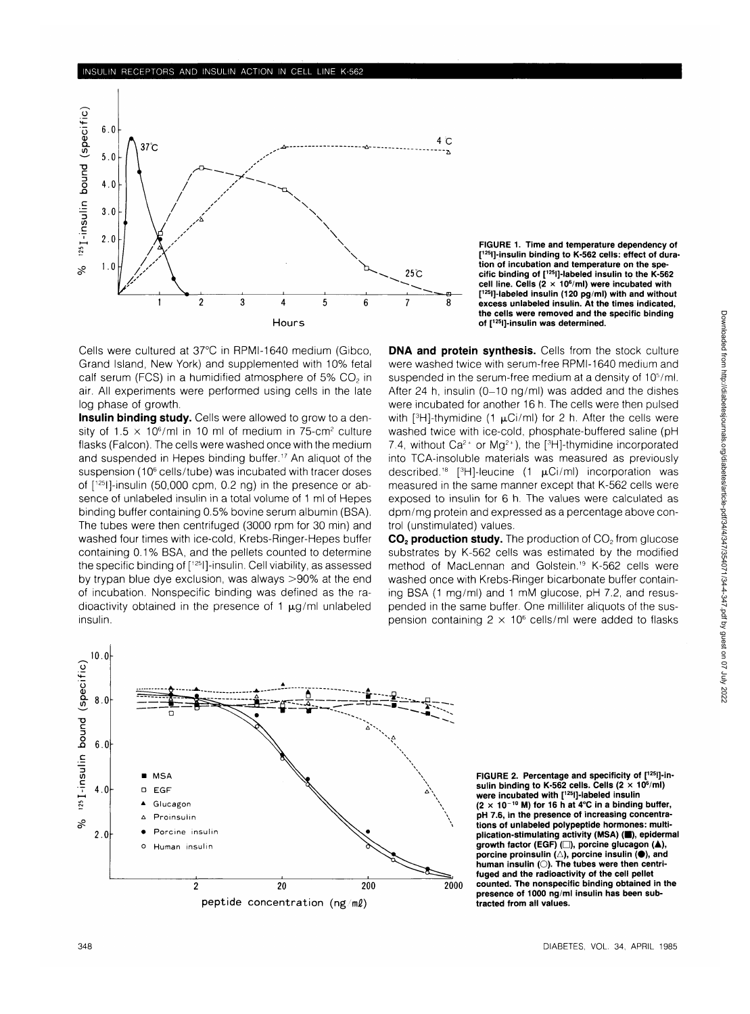

**FIGURE 1. Time and temperature dependency of [ tion of incubation and temperature on the spe-125l]-insulin binding to K-562 cells: effect of duracific binding of [125l]-labeled insulin to the K-562 cell line. Cells (2 x 10<sup>6</sup> /ml) were incubated with [ 12Sl]-labeled insulin (120 pg/ml) with and without excess unlabeled insulin. At the times indicated, the cells were removed and the specific binding of [125l]-insulin was determined.**

Cells were cultured at 37°C in RPMI-1640 medium (Gibco, Grand Island, New York) and supplemented with 10% fetal calf serum (FCS) in a humidified atmosphere of  $5\%$  CO<sub>2</sub> in air. All experiments were performed using cells in the late log phase of growth.

**Insulin binding study.** Cells were allowed to grow to a density of  $1.5 \times 10^6$ /ml in 10 ml of medium in 75-cm<sup>2</sup> culture flasks (Falcon). The cells were washed once with the medium and suspended in Hepes binding buffer.<sup>17</sup> An aliquot of the suspension (10<sup>6</sup> cells/tube) was incubated with tracer doses of [125l]-insulin (50,000 cpm, 0.2 ng) in the presence or absence of unlabeled insulin in a total volume of 1 ml of Hepes binding buffer containing 0.5% bovine serum albumin (BSA). The tubes were then centrifuged (3000 rpm for 30 min) and washed four times with ice-cold, Krebs-Ringer-Hepes buffer containing 0.1% BSA, and the pellets counted to determine the specific binding of [125l]-insulin. Cell viability, as assessed by trypan blue dye exclusion, was always >90% at the end of incubation. Nonspecific binding was defined as the radioactivity obtained in the presence of 1  $\mu$ g/ml unlabeled insulin.

**DNA and protein synthesis.** Cells from the stock culture were washed twice with serum-free RPMI-1640 medium and suspended in the serum-free medium at a density of 10<sup>5</sup>/ml. After 24 h, insulin (0-10 ng/ml) was added and the dishes were incubated for another 16 h. The cells were then pulsed with  $[3H]$ -thymidine (1  $\mu$ Ci/ml) for 2 h. After the cells were washed twice with ice-cold, phosphate-buffered saline (pH 7.4, without  $Ca^{2+}$  or  $Mg^{2+}$ ), the [<sup>3</sup>H]-thymidine incorporated into TCA-insoluble materials was measured as previously described.<sup>18</sup> [<sup>3</sup>H]-leucine (1  $\mu$ Ci/ml) incorporation was measured in the same manner except that K-562 cells were exposed to insulin for 6 h. The values were calculated as dpm/mg protein and expressed as a percentage above control (unstimulated) values.

**CO<sub>2</sub> production study.** The production of CO<sub>2</sub> from glucose substrates by K-562 cells was estimated by the modified method of MacLennan and Golstein.<sup>19</sup> K-562 cells were washed once with Krebs-Ringer bicarbonate buffer containing BSA (1 mg/ml) and 1 mM glucose, pH 7.2, and resuspended in the same buffer. One milliliter aliquots of the suspension containing 2  $\times$  10<sup>6</sup> cells/ml were added to flasks



**FIGURE 2. Percentage and specificity of [125l]-insulin binding to K-562 cells. Cells (2 x 106 /ml) were incubated with [125l]-labeled insulin**  $(2 \times 10^{-10}$  M) for 16 h at 4°C in a binding buffer, **pH 7.6, in the presence of increasing concentrations of unlabeled polypeptide hormones: multi**plication-stimulating activity (MSA) (**B**), epidermal **growth factor (EGF) (D), porcine glucagon (A),**  $\overline{\mathsf{p}}$ orcine proinsulin (△), porcine insulin (●), and<br>human insulin (○). The tubes were then centri**fuged and the radioactivity of the cell pellet counted. The nonspecific binding obtained in the presence of 1000 ng/ml insulin has been subtracted from all values.**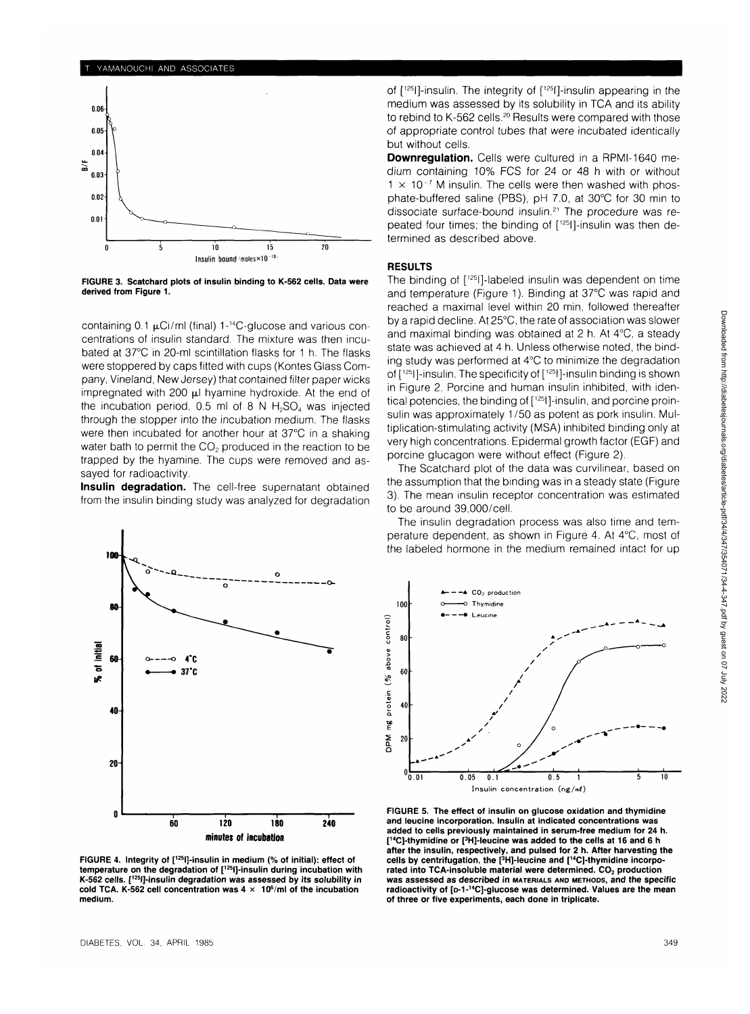#### YAMANOUCHI AND ASSOCIATES



FIGURE 3. Scatchard plots of insulin binding to K-562 cells. Data were derived from Figure 1.

containing  $0.1 \mu$ Ci/ml (final) 1-<sup>14</sup>C-glucose and various concentrations of insulin standard. The mixture was then incubated at 37°C in 20-ml scintillation flasks for 1 h. The flasks were stoppered by caps fitted with cups (Kontes Glass Company, Vineland, New Jersey) that contained filter paper wicks impregnated with 200  $\mu$ l hyamine hydroxide. At the end of the incubation period,  $0.5$  ml of 8 N H<sub>2</sub>SO<sub>4</sub> was injected through the stopper into the incubation medium. The flasks were then incubated for another hour at 37°C in a shaking water bath to permit the CO<sub>2</sub> produced in the reaction to be trapped by the hyamine. The cups were removed and assayed for radioactivity.

**Insulin degradation.** The cell-free supernatant obtained from the insulin binding study was analyzed for degradation



FIGURE 4. Integrity of [<sup>125</sup>l]-insulin in medium (% of initial): effect of temperature on the degradation of [12sl]-insulin during incubation with K-562 cells. [125l]-insulin degradation was assessed by its solubility in cold TCA. K-562 cell concentration was  $4 \times 10^6$ /ml of the incubation medium.

of [125l]-insulin. The integrity of [125l]-insulin appearing in the medium was assessed by its solubility in TCA and its ability to rebind to K-562 cells.<sup>20</sup> Results were compared with those of appropriate control tubes that were incubated identically but without cells.

**Downregulation.** Cells were cultured in a RPMI-1640 medium containing 10% FCS for 24 or 48 h with or without  $1 \times 10^{-7}$  M insulin. The cells were then washed with phosphate-buffered saline (PBS), pH 7.0, at 30°C for 30 min to dissociate surface-bound insulin.<sup>21</sup> The procedure was repeated four times; the binding of [<sup>125</sup>l]-insulin was then determined as described above.

#### **RESULTS**

The binding of [125l]-labeled insulin was dependent on time and temperature (Figure 1). Binding at 37°C was rapid and reached a maximal level within 20 min, followed thereafter by a rapid decline. At 25°C, the rate of association was slower and maximal binding was obtained at 2 h. At 4°C, a steady state was achieved at 4 h. Unless otherwise noted, the binding study was performed at 4°C to minimize the degradation of [125l]-insulin. The specificity of [125l]-insulin binding is shown in Figure 2. Porcine and human insulin inhibited, with identical potencies, the binding of [125l]-insulin, and porcine proinsulin was approximately 1/50 as potent as pork insulin. Multiplication-stimulating activity (MSA) inhibited binding only at very high concentrations. Epidermal growth factor (EGF) and porcine glucagon were without effect (Figure 2).

The Scatchard plot of the data was curvilinear, based on the assumption that the binding was in a steady state (Figure 3). The mean insulin receptor concentration was estimated to be around 39,000/cell.

The insulin degradation process was also time and temperature dependent, as shown in Figure 4. At 4°C, most of the labeled hormone in the medium remained intact for up



FIGURE 5. The effect of insulin on glucose oxidation and thymidine and leucine incorporation. Insulin at indicated concentrations was added to cells previously maintained in serum-free medium for 24 h. [<sup>14</sup>C]-thymidine or [<sup>3</sup>H]-leucine was added to the cells at 16 and 6 h after the insulin, respectively, and pulsed for 2 h. After harvesting the cells by centrifugation, the [3 H]-leucine and [14C]-thymidine incorporated into TCA-insoluble material were determined. CO<sub>2</sub> production was assessed as described in MATERIALS ANO METHODS, and the specific radioactivity of [p-1-<sup>14</sup>C]-glucose was determined. Values are the mean of three or five experiments, each done in triplicate.

Downloaded from http://diabetesjournals.org/diabetes/article-pdf/34/4/347/354071/34-4-347.pdf by guest on 07 July 2022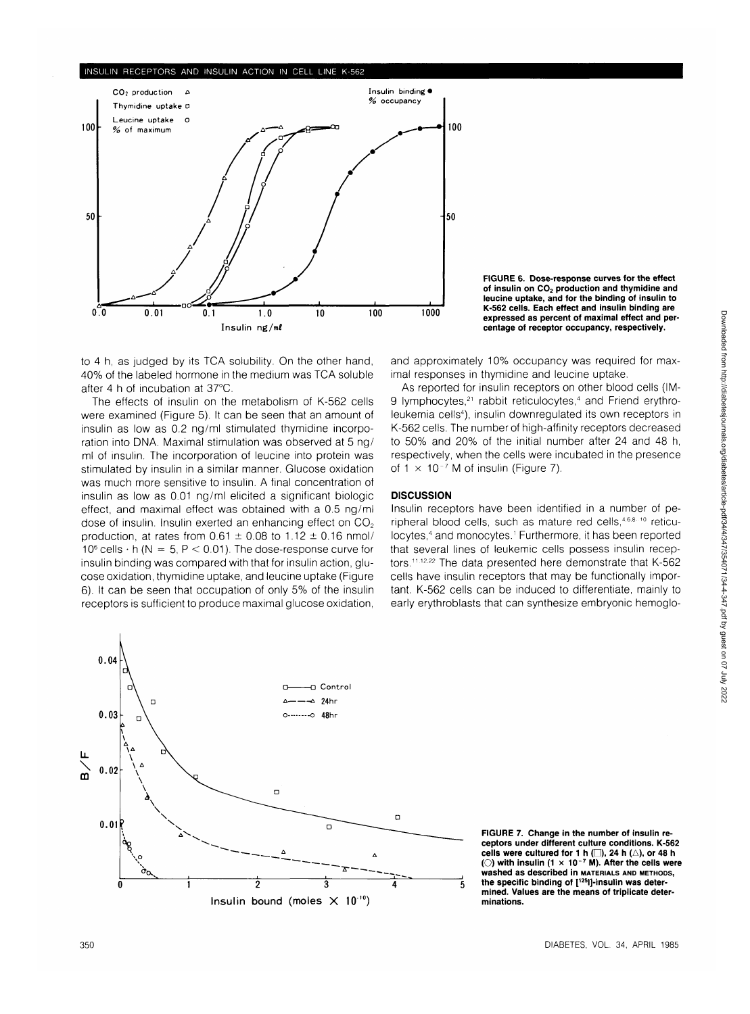### **INSULIN RECEPTORS AND INSULIN ACTION IN CELL LINE K-562**



**FIGURE 6. Dose-response curves for the effect** of insulin on CO<sub>2</sub> production and thymidine and **leucine uptake, and for the binding of insulin to K-562 cells. Each effect and insulin binding are expressed as percent of maximal effect and percentage of receptor occupancy, respectively.**

to 4 h, as judged by its TCA solubility. On the other hand, 40% of the labeled hormone in the medium was TCA soluble after 4 h of incubation at 37°C.

The effects of insulin on the metabolism of K-562 cells were examined (Figure 5). It can be seen that an amount of insulin as low as 0.2 ng/ml stimulated thymidine incorporation into DNA. Maximal stimulation was observed at 5 ng/ ml of insulin. The incorporation of leucine into protein was stimulated by insulin in a similar manner. Glucose oxidation was much more sensitive to insulin. A final concentration of insulin as low as 0.01 ng/ml elicited a significant biologic effect, and maximal effect was obtained with a 0.5 ng/ml dose of insulin. Insulin exerted an enhancing effect on  $CO<sub>2</sub>$ production, at rates from  $0.61 \pm 0.08$  to  $1.12 \pm 0.16$  nmol/ 10 $^6$  cells  $\cdot$  h (N  $\,=\,5,\,$  P  $\,<$  0.01). The dose-response curve for insulin binding was compared with that for insulin action, glucose oxidation, thymidine uptake, and leucine uptake (Figure 6). It can be seen that occupation of only 5% of the insulin receptors is sufficient to produce maximal glucose oxidation,

and approximately 10% occupancy was required for maximal responses in thymidine and leucine uptake.

As reported for insulin receptors on other blood cells (IM-9 lymphocytes,<sup>21</sup> rabbit reticulocytes,<sup>4</sup> and Friend erythroleukemia cells<sup>4</sup>), insulin downregulated its own receptors in K-562 cells. The number of high-affinity receptors decreased to 50% and 20% of the initial number after 24 and 48 h, respectively, when the cells were incubated in the presence of  $1 \times 10^{-7}$  M of insulin (Figure 7).

## **DISCUSSION**

Insulin receptors have been identified in a number of peripheral blood cells, such as mature red cells, 4,6,8,10 reticulocytes,<sup>4</sup> and monocytes.<sup>1</sup> Furthermore, it has been reported that several lines of leukemic cells possess insulin receptors.<sup>11,12,22</sup> The data presented here demonstrate that K-562 cells have insulin receptors that may be functionally important. K-562 cells can be induced to differentiate, mainly to early erythroblasts that can synthesize embryonic hemoglo-



**FIGURE 7. Change in the number of insulin receptors under different culture conditions. K-562** cells were cultured for 1 h  $\Box$ ), 24 h  $\Diamond$ ), or 48 h **(O) with insulin (1 x 10 <sup>7</sup> M). After the cells were washed as described in MATERIALS AND METHODS, the specific binding of [125l]-insulin was determined. Values are the means of triplicate determinations.**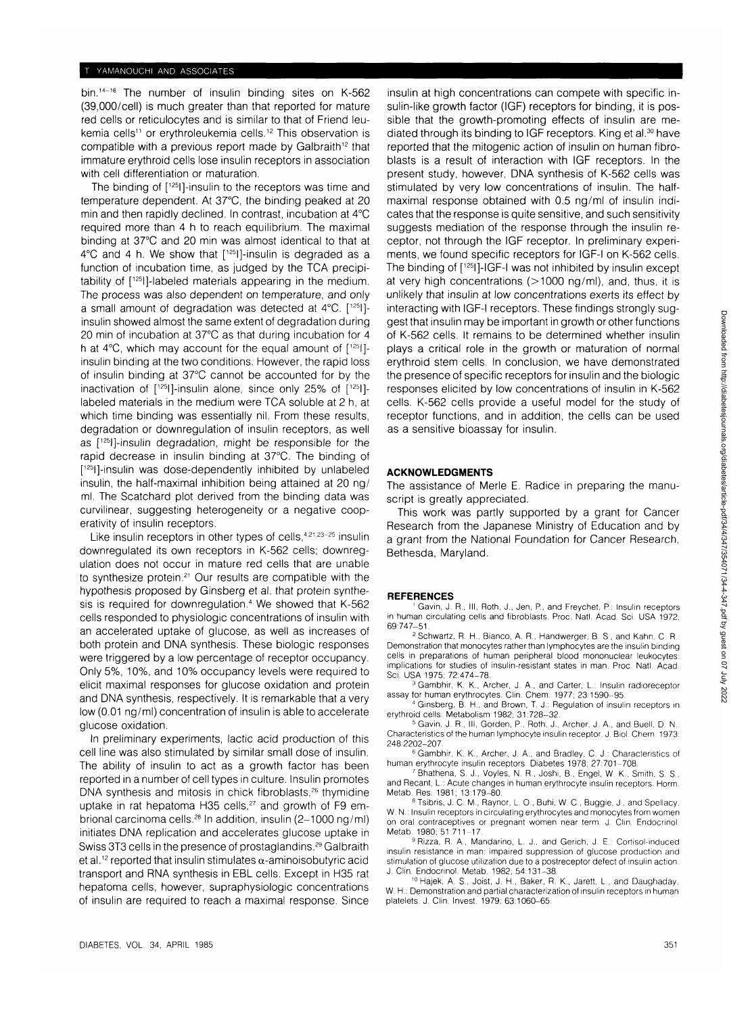bin.<sup>14-16</sup> The number of insulin binding sites on K-562 (39,000/cell) is much greater than that reported for mature red cells or reticulocytes and is similar to that of Friend leukemia cells<sup>11</sup> or erythroleukemia cells.<sup>12</sup> This observation is compatible with a previous report made by Galbraith<sup>12</sup> that immature erythroid cells lose insulin receptors in association with cell differentiation or maturation.

The binding of [125]]-insulin to the receptors was time and temperature dependent. At 37°C, the binding peaked at 20 min and then rapidly declined. In contrast, incubation at 4°C required more than 4 h to reach equilibrium. The maximal binding at 37°C and 20 min was almost identical to that at  $4^{\circ}$ C and 4 h. We show that  $[1^{25}]$ -insulin is degraded as a function of incubation time, as judged by the TCA precipitability of [125l]-labeled materials appearing in the medium. The process was also dependent on temperature, and only a small amount of degradation was detected at 4°C. [125I] insulin showed almost the same extent of degradation during 20 min of incubation at 37°C as that during incubation for 4 h at  $4^{\circ}$ C, which may account for the equal amount of  $[1^{25}]$ insulin binding at the two conditions. However, the rapid loss of insulin binding at 37°C cannot be accounted for by the inactivation of [125l]-insulin alone, since only 25% of [125I] labeled materials in the medium were TCA soluble at 2 h, at which time binding was essentially nil. From these results, degradation or downregulation of insulin receptors, as well as [125l]-insulin degradation, might be responsible for the rapid decrease in insulin binding at 37°C. The binding of [ 125l]-insulin was dose-dependently inhibited by unlabeled insulin, the half-maximal inhibition being attained at 20 ng/ ml. The Scatchard plot derived from the binding data was curvilinear, suggesting heterogeneity or a negative cooperativity of insulin receptors.

Like insulin receptors in other types of cells, 4,21,23-25 insulin downregulated its own receptors in K-562 cells; downregulation does not occur in mature red cells that are unable to synthesize protein.<sup>21</sup> Our results are compatible with the hypothesis proposed by Ginsberg et al. that protein synthesis is required for downregulation.<sup>4</sup> We showed that K-562 cells responded to physiologic concentrations of insulin with an accelerated uptake of glucose, as well as increases of both protein and DNA synthesis. These biologic responses were triggered by a low percentage of receptor occupancy. Only 5%, 10%, and 10% occupancy levels were required to elicit maximal responses for glucose oxidation and protein and DNA synthesis, respectively. It is remarkable that a very low (0.01 ng/ml) concentration of insulin is able to accelerate glucose oxidation.

In preliminary experiments, lactic acid production of this cell line was also stimulated by similar small dose of insulin. The ability of insulin to act as a growth factor has been reported in a number of cell types in culture. Insulin promotes DNA synthesis and mitosis in chick fibroblasts,<sup>26</sup> thymidine uptake in rat hepatoma H35 cells, $27$  and growth of F9 embrional carcinoma cells.<sup>28</sup> In addition, insulin (2–1000 ng/ml) initiates DNA replication and accelerates glucose uptake in Swiss 3T3 cells in the presence of prostaglandins.<sup>29</sup> Galbraith et al.<sup>12</sup> reported that insulin stimulates  $\alpha$ -aminoisobutyric acid transport and RNA synthesis in EBL cells. Except in H35 rat hepatoma cells, however, supraphysiologic concentrations of insulin are required to reach a maximal response. Since

insulin at high concentrations can compete with specific insulin-like growth factor (IGF) receptors for binding, it is possible that the growth-promoting effects of insulin are mediated through its binding to IGF receptors. King et al.<sup>30</sup> have reported that the mitogenic action of insulin on human fibroblasts is a result of interaction with IGF receptors. In the present study, however, DNA synthesis of K-562 cells was stimulated by very low concentrations of insulin. The halfmaximal response obtained with 0.5 ng/ml of insulin indicates that the response is quite sensitive, and such sensitivity suggests mediation of the response through the insulin receptor, not through the IGF receptor. In preliminary experiments, we found specific receptors for IGF-I on K-562 cells. The binding of [125I]-IGF-I was not inhibited by insulin except at very high concentrations  $(>1000 \text{ ng/ml})$ , and, thus, it is unlikely that insulin at low concentrations exerts its effect by interacting with IGF-I receptors. These findings strongly suggest that insulin may be important in growth or other functions of K-562 cells. It remains to be determined whether insulin plays a critical role in the growth or maturation of normal erythroid stem cells. In conclusion, we have demonstrated the presence of specific receptors for insulin and the biologic responses elicited by low concentrations of insulin in K-562 cells. K-562 cells provide a useful model for the study of receptor functions, and in addition, the cells can be used as a sensitive bioassay for insulin.

#### **ACKNOWLEDGMENTS**

The assistance of Merle E. Radice in preparing the manuscript is greatly appreciated.

This work was partly supported by a grant for Cancer Research from the Japanese Ministry of Education and by a grant from the National Foundation for Cancer Research, Bethesda, Maryland.

#### **REFERENCES**

 Gavin, J. R., Ill, Roth, J., Jen, P., and Freychet, P.: Insulin receptors in human circulating cells and fibroblasts. Proc. Natl. Acad. Sci. USA 1972; 69:747-51

<sup>2</sup> Schwartz, R. H., Bianco, A. R., Handwerger, B. S., and Kahn, C. R.: Demonstration that monocytes rather than lymphocytes are the insulin binding cells in preparations of human peripheral blood mononuclear leukocytes: implications for studies of insulin-resistant states in man. Proc. Natl. Acad.

Sci. USA 1975; 72:474-78.<br>3 Gambhir, K. K., Archer, J. A., and Carter, L.: Insulin radioreceptor<br>assay for human erythrocytes. Clin. Chem. 1977; 23:1590-95.<br>4 Gineber of Houston of Human T. L. Beculation of insulin concrit

 Ginsberg, B. H., and Brown, T. J.: Regulation of insulin receptors in erythroid cells. Metabolism 1982; 31:728-32. <sup>5</sup>

 Gavin, J. R., Ill, Gorden, P., Roth, J., Archer, J. A., and Buell, D. N. Characteristics of the human lymphocyte insulin receptor. J. Biol. Chem. 1973: 248:2202-207. <sup>6</sup>

<sup>6</sup> Gambhir, K. K., Archer, J. A., and Bradley, C. J.: Characteristics of human erythrocyte insulin receptors. Diabetes 1978; 27:701-708.

Bhathena, S. J., Voyles, N. R., Joshi, B., Engel, W. K., Smith, S. S., and Recant, L: Acute changes in human erythrocyte insulin receptors. Horm. Metab. Res. 1981; 13:179-80.

Tsibris, J. C. M., Raynor, L. O., Buhi, W. C, Buggie, J., and Spellacy, W. N.: Insulin receptors in circulating erythrocytes and monocytes from women on oral contraceptives or pregnant women near term. J. Clin. Endocrinol. Metab. 1980; 51:711-17

9 Rizza, R. A., Mandarino, L. J., and Gerich, J. E.: Cortisol-induced insulin resistance in man: impaired suppression of glucose production and stimulation of glucose utilization due to a postreceptor defect of insulin action. J. Clin. Endocrinol. Metab. 1982; 54:131-38.

10Hajek, A. S., Joist, J. H., Baker, R. K., Jarett, L, and Daughaday, W. H.: Demonstration and partial characterization of insulin receptors in human platelets. J. Clin. Invest. 1979; 63:1060-65.